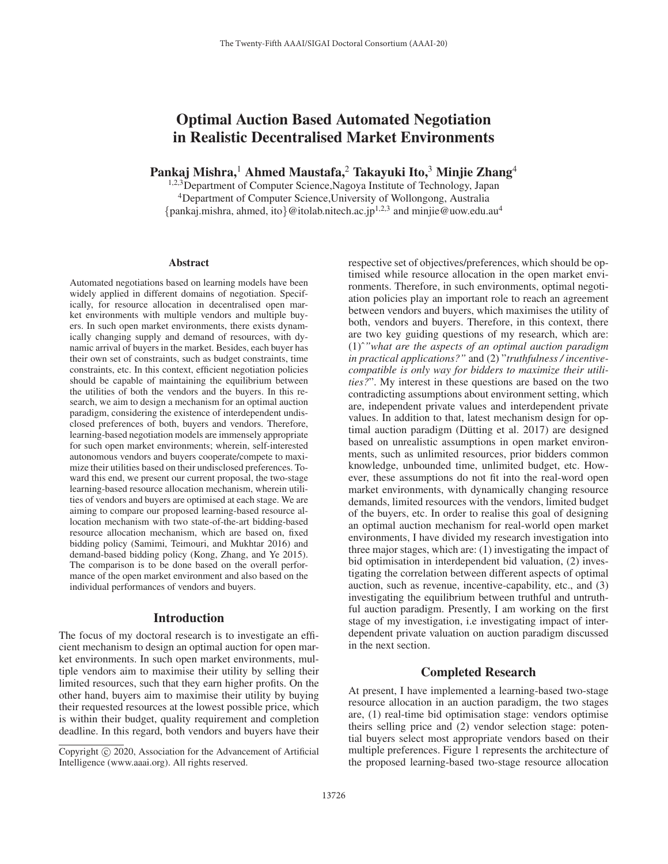# Optimal Auction Based Automated Negotiation in Realistic Decentralised Market Environments

Pankaj Mishra,<sup>1</sup> Ahmed Maustafa,<sup>2</sup> Takayuki Ito,<sup>3</sup> Minjie Zhang<sup>4</sup>

<sup>1,2,3</sup>Department of Computer Science, Nagoya Institute of Technology, Japan 4Department of Computer Science,University of Wollongong, Australia {pankaj.mishra, ahmed, ito}@itolab.nitech.ac.jp<sup>1,2,3</sup> and minjie@uow.edu.au<sup>4</sup>

#### Abstract

Automated negotiations based on learning models have been widely applied in different domains of negotiation. Specifically, for resource allocation in decentralised open market environments with multiple vendors and multiple buyers. In such open market environments, there exists dynamically changing supply and demand of resources, with dynamic arrival of buyers in the market. Besides, each buyer has their own set of constraints, such as budget constraints, time constraints, etc. In this context, efficient negotiation policies should be capable of maintaining the equilibrium between the utilities of both the vendors and the buyers. In this research, we aim to design a mechanism for an optimal auction paradigm, considering the existence of interdependent undisclosed preferences of both, buyers and vendors. Therefore, learning-based negotiation models are immensely appropriate for such open market environments; wherein, self-interested autonomous vendors and buyers cooperate/compete to maximize their utilities based on their undisclosed preferences. Toward this end, we present our current proposal, the two-stage learning-based resource allocation mechanism, wherein utilities of vendors and buyers are optimised at each stage. We are aiming to compare our proposed learning-based resource allocation mechanism with two state-of-the-art bidding-based resource allocation mechanism, which are based on, fixed bidding policy (Samimi, Teimouri, and Mukhtar 2016) and demand-based bidding policy (Kong, Zhang, and Ye 2015). The comparison is to be done based on the overall performance of the open market environment and also based on the individual performances of vendors and buyers.

### Introduction

The focus of my doctoral research is to investigate an efficient mechanism to design an optimal auction for open market environments. In such open market environments, multiple vendors aim to maximise their utility by selling their limited resources, such that they earn higher profits. On the other hand, buyers aim to maximise their utility by buying their requested resources at the lowest possible price, which is within their budget, quality requirement and completion deadline. In this regard, both vendors and buyers have their respective set of objectives/preferences, which should be optimised while resource allocation in the open market environments. Therefore, in such environments, optimal negotiation policies play an important role to reach an agreement between vendors and buyers, which maximises the utility of both, vendors and buyers. Therefore, in this context, there are two key guiding questions of my research, which are: (1)ˆ*"what are the aspects of an optimal auction paradigm in practical applications?"* and (2) "*truthfulness / incentivecompatible is only way for bidders to maximize their utilities?*". My interest in these questions are based on the two contradicting assumptions about environment setting, which are, independent private values and interdependent private values. In addition to that, latest mechanism design for optimal auction paradigm (Dütting et al.  $2017$ ) are designed based on unrealistic assumptions in open market environments, such as unlimited resources, prior bidders common knowledge, unbounded time, unlimited budget, etc. However, these assumptions do not fit into the real-word open market environments, with dynamically changing resource demands, limited resources with the vendors, limited budget of the buyers, etc. In order to realise this goal of designing an optimal auction mechanism for real-world open market environments, I have divided my research investigation into three major stages, which are: (1) investigating the impact of bid optimisation in interdependent bid valuation, (2) investigating the correlation between different aspects of optimal auction, such as revenue, incentive-capability, etc., and (3) investigating the equilibrium between truthful and untruthful auction paradigm. Presently, I am working on the first stage of my investigation, i.e investigating impact of interdependent private valuation on auction paradigm discussed in the next section.

# Completed Research

At present, I have implemented a learning-based two-stage resource allocation in an auction paradigm, the two stages are, (1) real-time bid optimisation stage: vendors optimise theirs selling price and (2) vendor selection stage: potential buyers select most appropriate vendors based on their multiple preferences. Figure 1 represents the architecture of the proposed learning-based two-stage resource allocation

Copyright  $\odot$  2020, Association for the Advancement of Artificial Intelligence (www.aaai.org). All rights reserved.